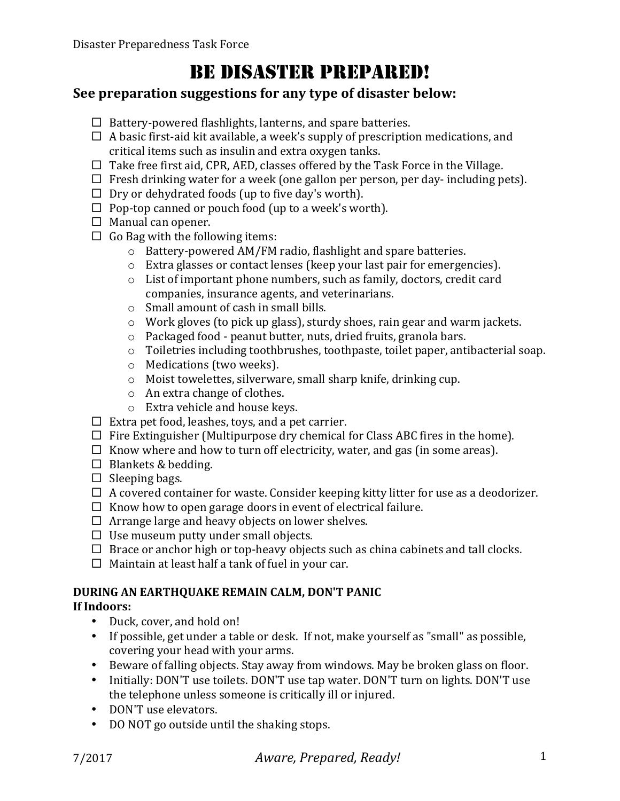# BE DISASTER PREPARED!

#### See preparation suggestions for any type of disaster below:

- $\Box$  Battery-powered flashlights, lanterns, and spare batteries.
- $\Box$  A basic first-aid kit available, a week's supply of prescription medications, and critical items such as insulin and extra oxygen tanks.
- $\Box$  Take free first aid, CPR, AED, classes offered by the Task Force in the Village.
- $\Box$  Fresh drinking water for a week (one gallon per person, per day- including pets).
- $\Box$  Dry or dehydrated foods (up to five day's worth).
- $\Box$  Pop-top canned or pouch food (up to a week's worth).
- $\Box$  Manual can opener.
- $\Box$  Go Bag with the following items:
	- $\circ$  Battery-powered AM/FM radio, flashlight and spare batteries.
	- $\circ$  Extra glasses or contact lenses (keep your last pair for emergencies).
	- $\circ$  List of important phone numbers, such as family, doctors, credit card companies, insurance agents, and veterinarians.
	- $\circ$  Small amount of cash in small bills.
	- $\circ$  Work gloves (to pick up glass), sturdy shoes, rain gear and warm jackets.
	- o Packaged food peanut butter, nuts, dried fruits, granola bars.
	- $\circ$  Toiletries including toothbrushes, toothpaste, toilet paper, antibacterial soap.
	- $\circ$  Medications (two weeks).
	- $\circ$  Moist towelettes, silverware, small sharp knife, drinking cup.
	- $\circ$  An extra change of clothes.
	- o Extra vehicle and house keys.
- $\Box$  Extra pet food, leashes, toys, and a pet carrier.
- $\Box$  Fire Extinguisher (Multipurpose dry chemical for Class ABC fires in the home).
- $\Box$  Know where and how to turn off electricity, water, and gas (in some areas).
- $\Box$  Blankets & bedding.
- $\square$  Sleeping bags.
- $\Box$  A covered container for waste. Consider keeping kitty litter for use as a deodorizer.
- $\Box$  Know how to open garage doors in event of electrical failure.
- $\Box$  Arrange large and heavy objects on lower shelves.
- $\Box$  Use museum putty under small objects.
- $\Box$  Brace or anchor high or top-heavy objects such as china cabinets and tall clocks.
- $\Box$  Maintain at least half a tank of fuel in your car.

#### **DURING AN EARTHQUAKE REMAIN CALM, DON'T PANIC If Indoors:**

- Duck, cover, and hold on!
- If possible, get under a table or desk. If not, make vourself as "small" as possible, covering your head with your arms.
- Beware of falling objects. Stay away from windows. May be broken glass on floor.
- Initially: DON'T use toilets. DON'T use tap water. DON'T turn on lights. DON'T use the telephone unless someone is critically ill or injured.
- DON'T use elevators.
- DO NOT go outside until the shaking stops.